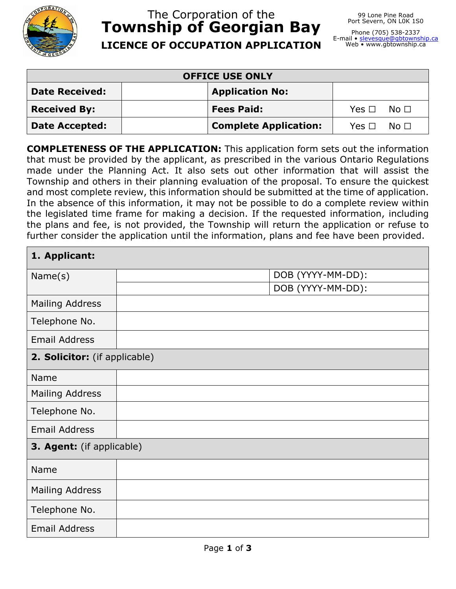

## The Corporation of the **Township of Georgian Bay LICENCE OF OCCUPATION APPLICATION**

Phone (705) 538-2337 E-mail • <u>[slevesque@gbtownship.ca](mailto:slevesque@gbtownship.ca)</u><br>Web • www.gbtownship.ca

| <b>OFFICE USE ONLY</b> |                              |                      |  |  |
|------------------------|------------------------------|----------------------|--|--|
| <b>Date Received:</b>  | <b>Application No:</b>       |                      |  |  |
| <b>Received By:</b>    | <b>Fees Paid:</b>            | $Yes \Box$ No $\Box$ |  |  |
| <b>Date Accepted:</b>  | <b>Complete Application:</b> | $Yes \Box No \Box$   |  |  |

**COMPLETENESS OF THE APPLICATION:** This application form sets out the information that must be provided by the applicant, as prescribed in the various Ontario Regulations made under the Planning Act. It also sets out other information that will assist the Township and others in their planning evaluation of the proposal. To ensure the quickest and most complete review, this information should be submitted at the time of application. In the absence of this information, it may not be possible to do a complete review within the legislated time frame for making a decision. If the requested information, including the plans and fee, is not provided, the Township will return the application or refuse to further consider the application until the information, plans and fee have been provided.

| 1. Applicant:                 |  |                   |  |  |
|-------------------------------|--|-------------------|--|--|
| Name(s)                       |  | DOB (YYYY-MM-DD): |  |  |
|                               |  | DOB (YYYY-MM-DD): |  |  |
| <b>Mailing Address</b>        |  |                   |  |  |
| Telephone No.                 |  |                   |  |  |
| <b>Email Address</b>          |  |                   |  |  |
| 2. Solicitor: (if applicable) |  |                   |  |  |
| Name                          |  |                   |  |  |
| <b>Mailing Address</b>        |  |                   |  |  |
| Telephone No.                 |  |                   |  |  |
| <b>Email Address</b>          |  |                   |  |  |
| 3. Agent: (if applicable)     |  |                   |  |  |
| Name                          |  |                   |  |  |
| <b>Mailing Address</b>        |  |                   |  |  |
| Telephone No.                 |  |                   |  |  |
| <b>Email Address</b>          |  |                   |  |  |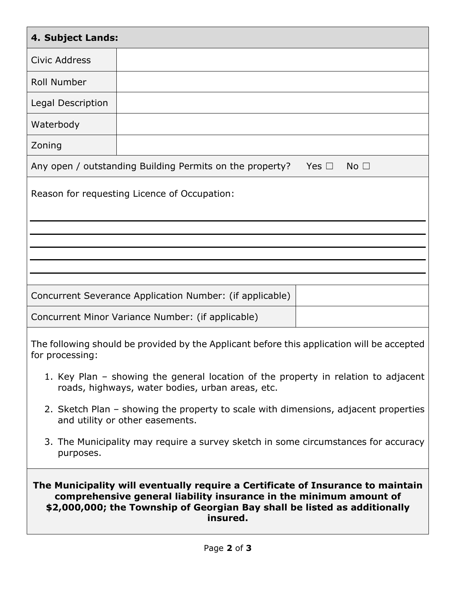| 4. Subject Lands:                                                                                                                                                                                                                              |                                                          |  |  |  |  |
|------------------------------------------------------------------------------------------------------------------------------------------------------------------------------------------------------------------------------------------------|----------------------------------------------------------|--|--|--|--|
| <b>Civic Address</b>                                                                                                                                                                                                                           |                                                          |  |  |  |  |
| <b>Roll Number</b>                                                                                                                                                                                                                             |                                                          |  |  |  |  |
| Legal Description                                                                                                                                                                                                                              |                                                          |  |  |  |  |
| Waterbody                                                                                                                                                                                                                                      |                                                          |  |  |  |  |
| Zoning                                                                                                                                                                                                                                         |                                                          |  |  |  |  |
| Any open / outstanding Building Permits on the property?<br>No <sub>1</sub><br>Yes $\Box$                                                                                                                                                      |                                                          |  |  |  |  |
| Reason for requesting Licence of Occupation:                                                                                                                                                                                                   |                                                          |  |  |  |  |
|                                                                                                                                                                                                                                                |                                                          |  |  |  |  |
|                                                                                                                                                                                                                                                |                                                          |  |  |  |  |
|                                                                                                                                                                                                                                                | Concurrent Severance Application Number: (if applicable) |  |  |  |  |
|                                                                                                                                                                                                                                                | Concurrent Minor Variance Number: (if applicable)        |  |  |  |  |
| The following should be provided by the Applicant before this application will be accepted<br>for processing:                                                                                                                                  |                                                          |  |  |  |  |
| 1. Key Plan – showing the general location of the property in relation to adjacent<br>roads, highways, water bodies, urban areas, etc.                                                                                                         |                                                          |  |  |  |  |
| 2. Sketch Plan – showing the property to scale with dimensions, adjacent properties<br>and utility or other easements.                                                                                                                         |                                                          |  |  |  |  |
| 3. The Municipality may require a survey sketch in some circumstances for accuracy<br>purposes.                                                                                                                                                |                                                          |  |  |  |  |
| The Municipality will eventually require a Certificate of Insurance to maintain<br>comprehensive general liability insurance in the minimum amount of<br>\$2,000,000; the Township of Georgian Bay shall be listed as additionally<br>insured. |                                                          |  |  |  |  |